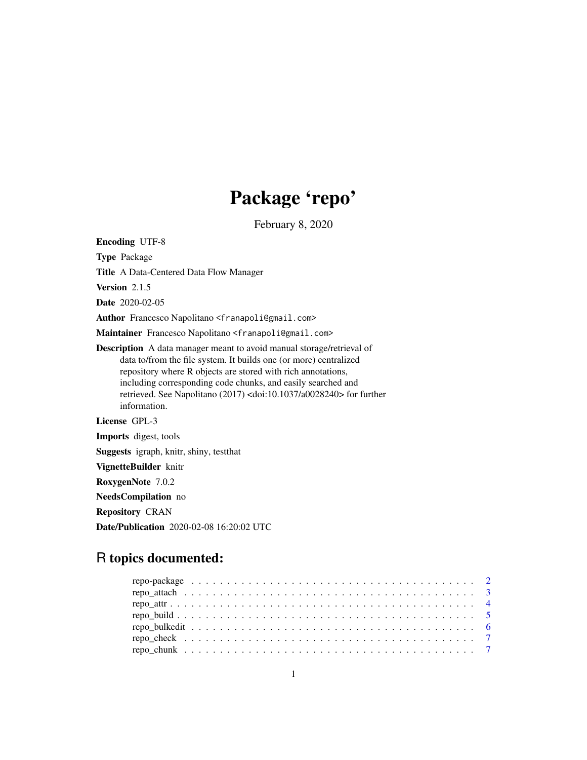## Package 'repo'

February 8, 2020

Encoding UTF-8 Type Package Title A Data-Centered Data Flow Manager Version 2.1.5 Date 2020-02-05 Author Francesco Napolitano <franapoli@gmail.com> Maintainer Francesco Napolitano <franapoli@gmail.com> Description A data manager meant to avoid manual storage/retrieval of data to/from the file system. It builds one (or more) centralized repository where R objects are stored with rich annotations, including corresponding code chunks, and easily searched and retrieved. See Napolitano (2017) <doi:10.1037/a0028240> for further information. License GPL-3 Imports digest, tools Suggests igraph, knitr, shiny, testthat VignetteBuilder knitr RoxygenNote 7.0.2 NeedsCompilation no Repository CRAN Date/Publication 2020-02-08 16:20:02 UTC

## R topics documented: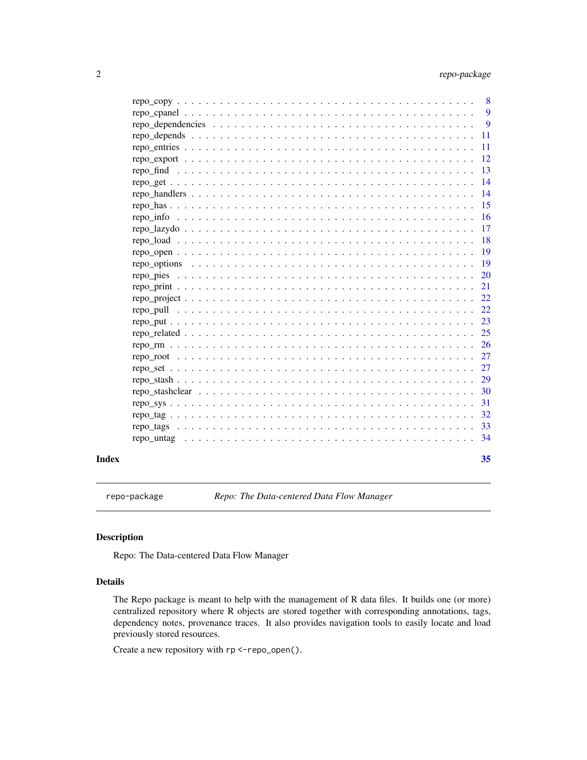<span id="page-1-0"></span>

| Index | 35                        |
|-------|---------------------------|
|       | 34                        |
|       | 33                        |
|       | 32                        |
|       | 31                        |
|       | 30                        |
|       | 29                        |
|       | 27                        |
|       | 27                        |
|       | 26                        |
|       | 25                        |
|       | 23                        |
|       | 22                        |
|       | 22                        |
|       | 21                        |
|       | <b>20</b>                 |
|       | 19                        |
|       | -19                       |
|       | <b>18</b>                 |
|       | 17                        |
|       | <sup>16</sup>             |
|       | 15                        |
|       | 14                        |
|       | -14                       |
|       | 13                        |
|       | 12                        |
|       | <b>11</b>                 |
|       | 11                        |
|       | 9                         |
|       | 9                         |
|       | $\overline{\phantom{0}}8$ |

repo-package *Repo: The Data-centered Data Flow Manager*

## Description

Repo: The Data-centered Data Flow Manager

## Details

The Repo package is meant to help with the management of R data files. It builds one (or more) centralized repository where R objects are stored together with corresponding annotations, tags, dependency notes, provenance traces. It also provides navigation tools to easily locate and load previously stored resources.

Create a new repository with rp <-repo\_open().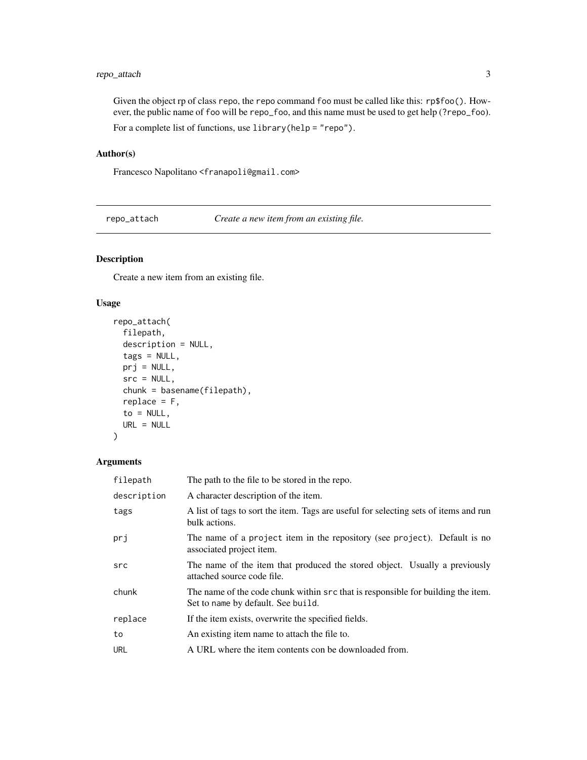## <span id="page-2-0"></span>repo\_attach 3

Given the object rp of class repo, the repo command foo must be called like this: rp\$foo(). However, the public name of foo will be repo\_foo, and this name must be used to get help (?repo\_foo). For a complete list of functions, use library(help = "repo").

## Author(s)

Francesco Napolitano <franapoli@gmail.com>

repo\_attach *Create a new item from an existing file.*

## Description

Create a new item from an existing file.

#### Usage

```
repo_attach(
 filepath,
 description = NULL,
 tags = NULL,prj = NULL,src = NULL,chunk = basename(filepath),
 replace = F,
 to = NULL,
 URL = NULL
)
```
## Arguments

| filepath    | The path to the file to be stored in the repo.                                                                         |
|-------------|------------------------------------------------------------------------------------------------------------------------|
| description | A character description of the item.                                                                                   |
| tags        | A list of tags to sort the item. Tags are useful for selecting sets of items and run<br>bulk actions.                  |
| prj         | The name of a project item in the repository (see project). Default is no<br>associated project item.                  |
| src         | The name of the item that produced the stored object. Usually a previously<br>attached source code file.               |
| chunk       | The name of the code chunk within src that is responsible for building the item.<br>Set to name by default. See build. |
| replace     | If the item exists, overwrite the specified fields.                                                                    |
| to          | An existing item name to attach the file to.                                                                           |
| <b>URL</b>  | A URL where the item contents con be downloaded from.                                                                  |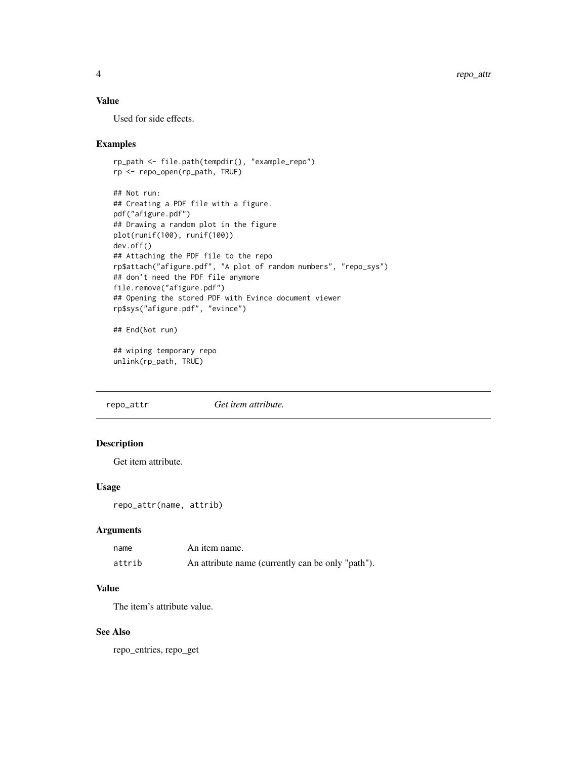## <span id="page-3-0"></span>Value

Used for side effects.

#### Examples

```
rp_path <- file.path(tempdir(), "example_repo")
rp <- repo_open(rp_path, TRUE)
## Not run:
## Creating a PDF file with a figure.
pdf("afigure.pdf")
## Drawing a random plot in the figure
plot(runif(100), runif(100))
dev.off()
## Attaching the PDF file to the repo
rp$attach("afigure.pdf", "A plot of random numbers", "repo_sys")
## don't need the PDF file anymore
file.remove("afigure.pdf")
## Opening the stored PDF with Evince document viewer
rp$sys("afigure.pdf", "evince")
## End(Not run)
```

```
## wiping temporary repo
unlink(rp_path, TRUE)
```
repo\_attr *Get item attribute.*

## Description

Get item attribute.

## Usage

repo\_attr(name, attrib)

## Arguments

| name   | An item name.                                     |
|--------|---------------------------------------------------|
| attrib | An attribute name (currently can be only "path"). |

## Value

The item's attribute value.

## See Also

repo\_entries, repo\_get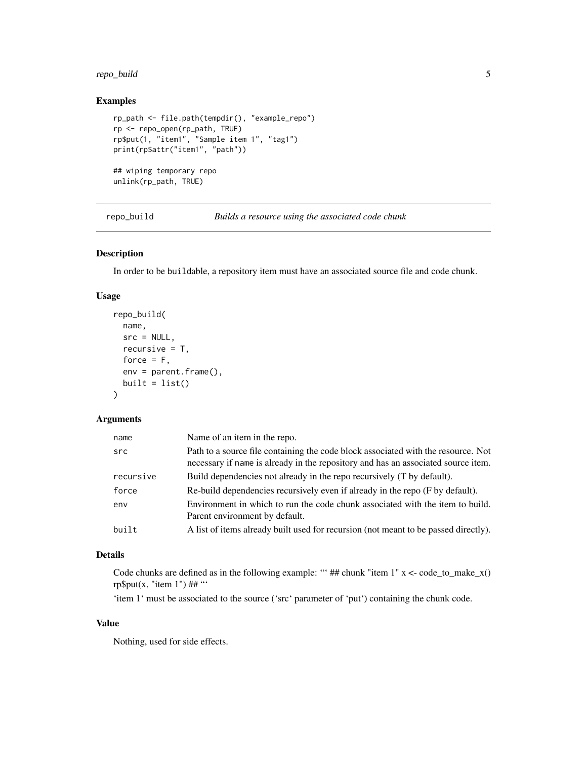## <span id="page-4-0"></span>repo\_build 5

## Examples

```
rp_path <- file.path(tempdir(), "example_repo")
rp <- repo_open(rp_path, TRUE)
rp$put(1, "item1", "Sample item 1", "tag1")
print(rp$attr("item1", "path"))
## wiping temporary repo
unlink(rp_path, TRUE)
```
repo\_build *Builds a resource using the associated code chunk*

## Description

In order to be buildable, a repository item must have an associated source file and code chunk.

#### Usage

```
repo_build(
  name,
  src = NULL,recursive = T,
  force = F,
  env = parent.frame(),
  built = list()\mathcal{L}
```
#### Arguments

| name      | Name of an item in the repo.                                                                                                                                           |
|-----------|------------------------------------------------------------------------------------------------------------------------------------------------------------------------|
| src       | Path to a source file containing the code block associated with the resource. Not<br>necessary if name is already in the repository and has an associated source item. |
| recursive | Build dependencies not already in the repo recursively (T by default).                                                                                                 |
| force     | Re-build dependencies recursively even if already in the repo (F by default).                                                                                          |
| env       | Environment in which to run the code chunk associated with the item to build.<br>Parent environment by default.                                                        |
| built     | A list of items already built used for recursion (not meant to be passed directly).                                                                                    |

## Details

Code chunks are defined as in the following example: "' ## chunk "item  $1$ "  $x <$  code\_to\_make\_ $x()$ rp\$put(x, "item 1") ## "'

'item 1' must be associated to the source ('src' parameter of 'put') containing the chunk code.

## Value

Nothing, used for side effects.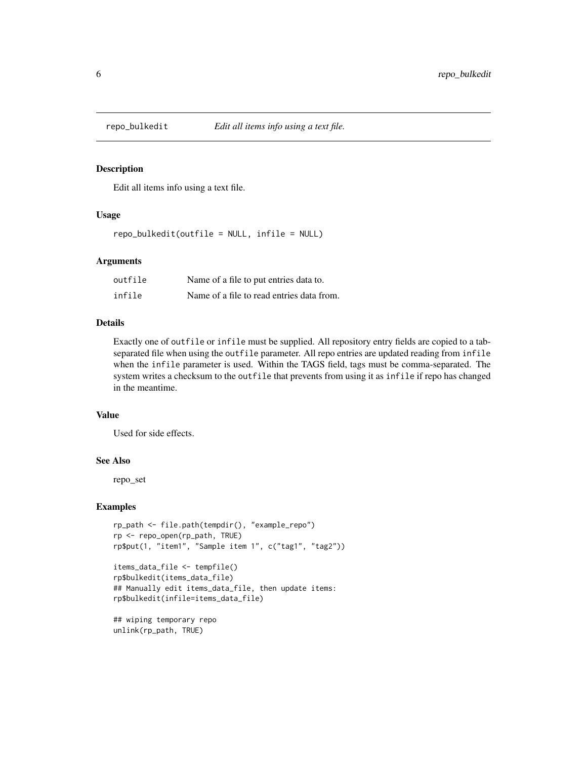<span id="page-5-0"></span>

Edit all items info using a text file.

#### Usage

repo\_bulkedit(outfile = NULL, infile = NULL)

#### **Arguments**

| outfile | Name of a file to put entries data to.    |
|---------|-------------------------------------------|
| infile  | Name of a file to read entries data from. |

## Details

Exactly one of outfile or infile must be supplied. All repository entry fields are copied to a tabseparated file when using the outfile parameter. All repo entries are updated reading from infile when the infile parameter is used. Within the TAGS field, tags must be comma-separated. The system writes a checksum to the outfile that prevents from using it as infile if repo has changed in the meantime.

#### Value

Used for side effects.

#### See Also

repo\_set

```
rp_path <- file.path(tempdir(), "example_repo")
rp <- repo_open(rp_path, TRUE)
rp$put(1, "item1", "Sample item 1", c("tag1", "tag2"))
```

```
items_data_file <- tempfile()
rp$bulkedit(items_data_file)
## Manually edit items_data_file, then update items:
rp$bulkedit(infile=items_data_file)
```

```
## wiping temporary repo
unlink(rp_path, TRUE)
```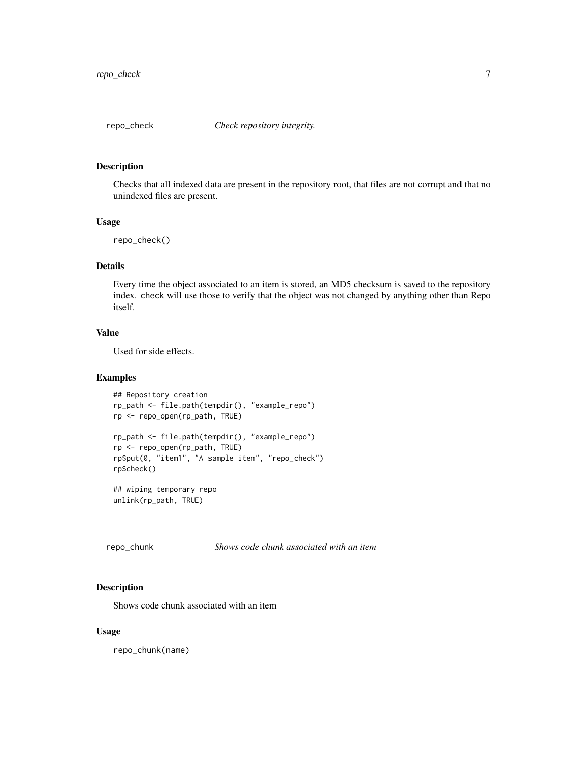<span id="page-6-0"></span>

Checks that all indexed data are present in the repository root, that files are not corrupt and that no unindexed files are present.

#### Usage

```
repo_check()
```
#### Details

Every time the object associated to an item is stored, an MD5 checksum is saved to the repository index. check will use those to verify that the object was not changed by anything other than Repo itself.

## Value

Used for side effects.

#### Examples

```
## Repository creation
rp_path <- file.path(tempdir(), "example_repo")
rp <- repo_open(rp_path, TRUE)
rp_path <- file.path(tempdir(), "example_repo")
rp <- repo_open(rp_path, TRUE)
rp$put(0, "item1", "A sample item", "repo_check")
rp$check()
## wiping temporary repo
unlink(rp_path, TRUE)
```
repo\_chunk *Shows code chunk associated with an item*

## Description

Shows code chunk associated with an item

#### Usage

repo\_chunk(name)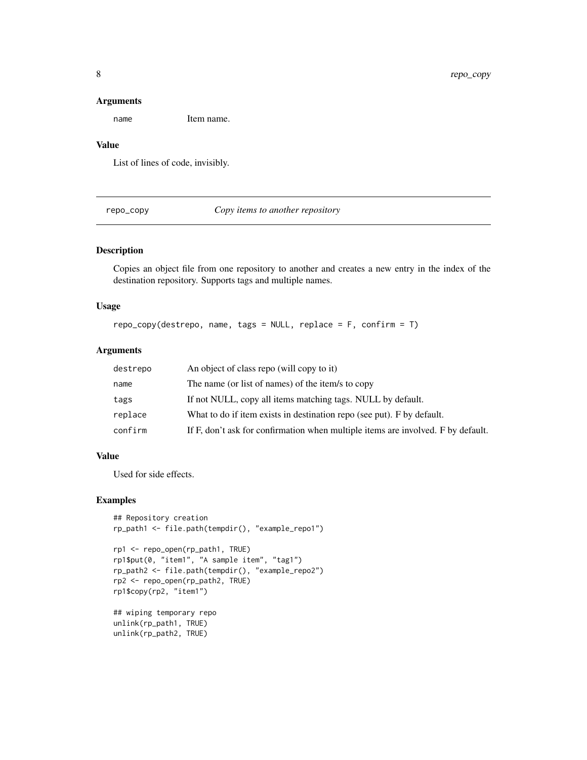#### Arguments

name Item name.

## Value

List of lines of code, invisibly.

repo\_copy *Copy items to another repository*

## Description

Copies an object file from one repository to another and creates a new entry in the index of the destination repository. Supports tags and multiple names.

## Usage

repo\_copy(destrepo, name, tags = NULL, replace = F, confirm = T)

## Arguments

| destrepo | An object of class repo (will copy to it)                                        |
|----------|----------------------------------------------------------------------------------|
| name     | The name (or list of names) of the item/s to copy                                |
| tags     | If not NULL, copy all items matching tags. NULL by default.                      |
| replace  | What to do if item exists in destination repo (see put). F by default.           |
| confirm  | If F, don't ask for confirmation when multiple items are involved. F by default. |

## Value

Used for side effects.

#### Examples

```
## Repository creation
rp_path1 <- file.path(tempdir(), "example_repo1")
```

```
rp1 <- repo_open(rp_path1, TRUE)
rp1$put(0, "item1", "A sample item", "tag1")
rp_path2 <- file.path(tempdir(), "example_repo2")
rp2 <- repo_open(rp_path2, TRUE)
rp1$copy(rp2, "item1")
```
## wiping temporary repo unlink(rp\_path1, TRUE) unlink(rp\_path2, TRUE)

<span id="page-7-0"></span>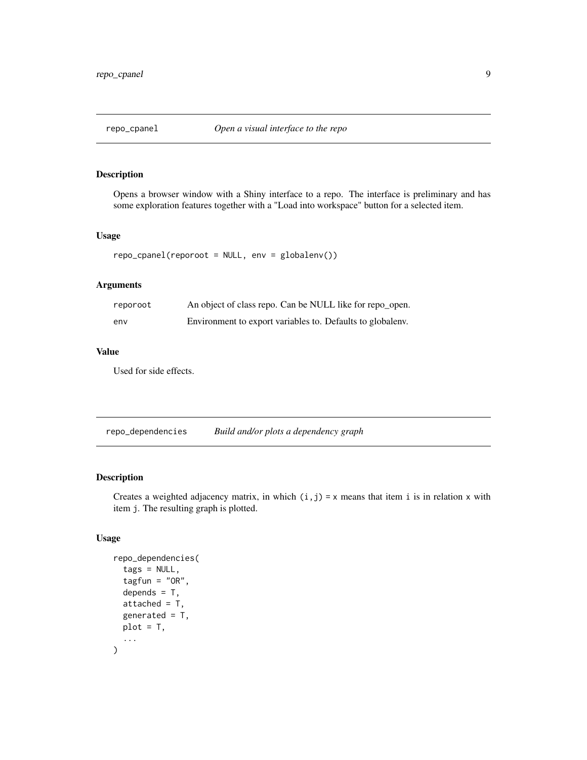<span id="page-8-0"></span>

Opens a browser window with a Shiny interface to a repo. The interface is preliminary and has some exploration features together with a "Load into workspace" button for a selected item.

#### Usage

```
repo_cpanel(reporoot = NULL, env = globalenv())
```
## Arguments

| reporoot | An object of class repo. Can be NULL like for repo_open.   |
|----------|------------------------------------------------------------|
| env      | Environment to export variables to. Defaults to globaleny. |

## Value

Used for side effects.

repo\_dependencies *Build and/or plots a dependency graph*

#### Description

Creates a weighted adjacency matrix, in which  $(i, j) = x$  means that item i is in relation x with item j. The resulting graph is plotted.

## Usage

```
repo_dependencies(
  tags = NULL,tagfun = "OR",depends = T,
  attached = T,
  generated = T,
 plot = T,
  ...
\mathcal{E}
```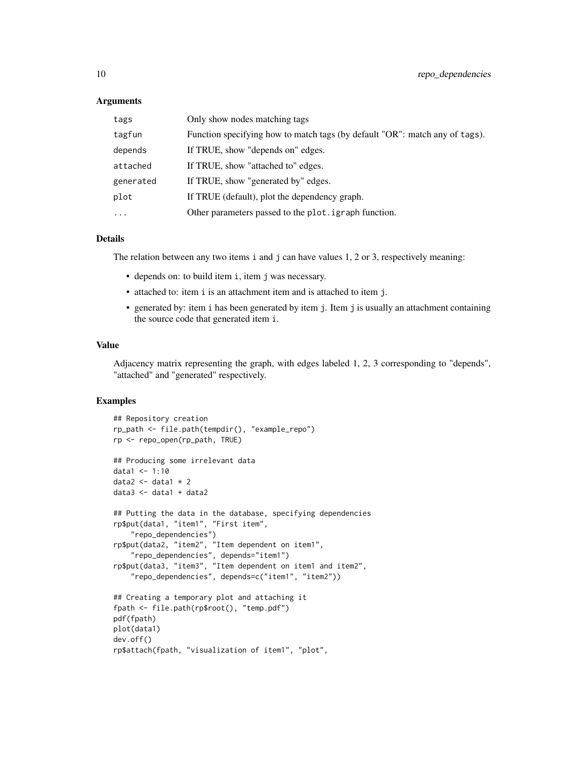#### **Arguments**

| tags      | Only show nodes matching tags                                               |
|-----------|-----------------------------------------------------------------------------|
| tagfun    | Function specifying how to match tags (by default "OR": match any of tags). |
| depends   | If TRUE, show "depends on" edges.                                           |
| attached  | If TRUE, show "attached to" edges.                                          |
| generated | If TRUE, show "generated by" edges.                                         |
| plot      | If TRUE (default), plot the dependency graph.                               |
| $\ddotsc$ | Other parameters passed to the plot. igraph function.                       |

## Details

The relation between any two items i and j can have values 1, 2 or 3, respectively meaning:

- depends on: to build item i, item j was necessary.
- attached to: item i is an attachment item and is attached to item j.
- generated by: item i has been generated by item j. Item j is usually an attachment containing the source code that generated item i.

#### Value

Adjacency matrix representing the graph, with edges labeled 1, 2, 3 corresponding to "depends", "attached" and "generated" respectively.

```
## Repository creation
rp_path <- file.path(tempdir(), "example_repo")
rp <- repo_open(rp_path, TRUE)
## Producing some irrelevant data
data1 < -1:10data2 \leq data1 \neq 2
data3 <- data1 + data2
## Putting the data in the database, specifying dependencies
rp$put(data1, "item1", "First item",
    "repo_dependencies")
rp$put(data2, "item2", "Item dependent on item1",
    "repo_dependencies", depends="item1")
rp$put(data3, "item3", "Item dependent on item1 and item2",
    "repo_dependencies", depends=c("item1", "item2"))
## Creating a temporary plot and attaching it
fpath <- file.path(rp$root(), "temp.pdf")
pdf(fpath)
plot(data1)
dev.off()
rp$attach(fpath, "visualization of item1", "plot",
```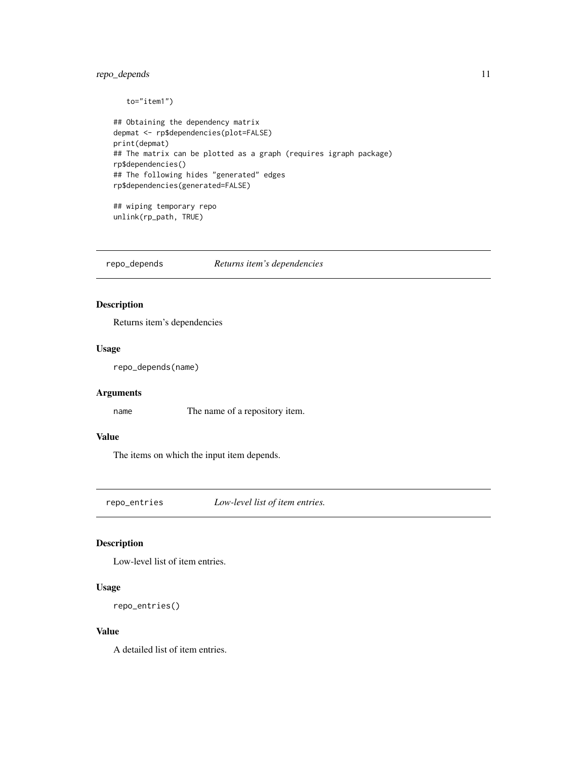## <span id="page-10-0"></span>repo\_depends 11

```
to="item1")
## Obtaining the dependency matrix
depmat <- rp$dependencies(plot=FALSE)
print(depmat)
## The matrix can be plotted as a graph (requires igraph package)
rp$dependencies()
## The following hides "generated" edges
rp$dependencies(generated=FALSE)
## wiping temporary repo
```
unlink(rp\_path, TRUE)

repo\_depends *Returns item's dependencies*

## Description

Returns item's dependencies

## Usage

repo\_depends(name)

#### Arguments

name The name of a repository item.

## Value

The items on which the input item depends.

repo\_entries *Low-level list of item entries.*

## Description

Low-level list of item entries.

#### Usage

```
repo_entries()
```
## Value

A detailed list of item entries.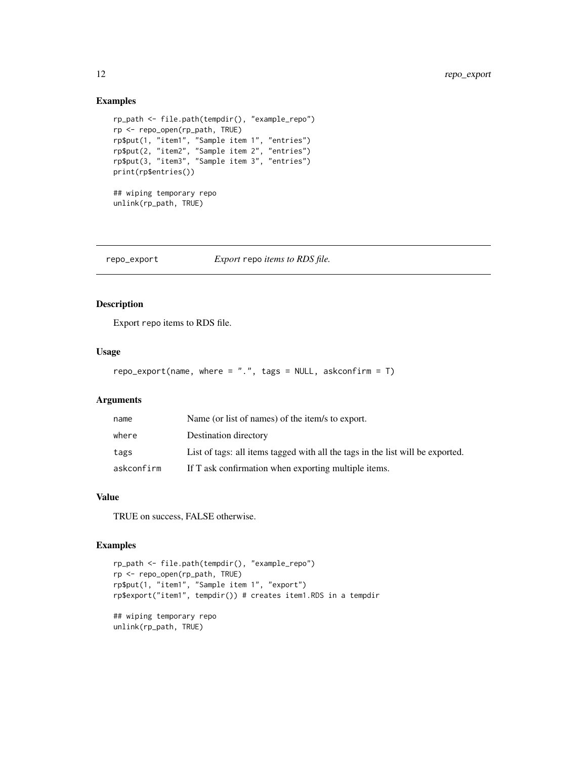## Examples

```
rp_path <- file.path(tempdir(), "example_repo")
rp <- repo_open(rp_path, TRUE)
rp$put(1, "item1", "Sample item 1", "entries")
rp$put(2, "item2", "Sample item 2", "entries")
rp$put(3, "item3", "Sample item 3", "entries")
print(rp$entries())
## wiping temporary repo
unlink(rp_path, TRUE)
```
repo\_export *Export* repo *items to RDS file.*

## Description

Export repo items to RDS file.

#### Usage

```
repo_export(name, where = ".", tags = NULL, askconfirm = T)
```
#### Arguments

| name       | Name (or list of names) of the item/s to export.                               |
|------------|--------------------------------------------------------------------------------|
| where      | Destination directory                                                          |
| tags       | List of tags: all items tagged with all the tags in the list will be exported. |
| askconfirm | If T ask confirmation when exporting multiple items.                           |

## Value

TRUE on success, FALSE otherwise.

```
rp_path <- file.path(tempdir(), "example_repo")
rp <- repo_open(rp_path, TRUE)
rp$put(1, "item1", "Sample item 1", "export")
rp$export("item1", tempdir()) # creates item1.RDS in a tempdir
## wiping temporary repo
unlink(rp_path, TRUE)
```
<span id="page-11-0"></span>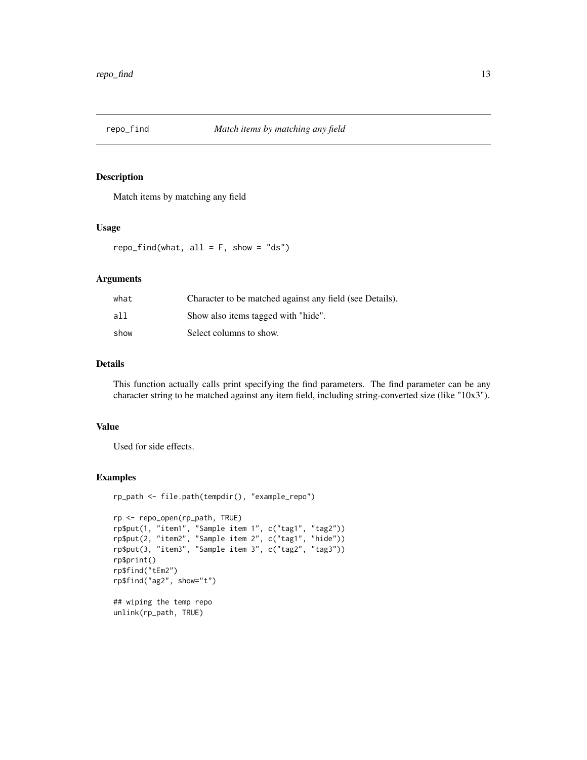<span id="page-12-0"></span>

Match items by matching any field

#### Usage

repo\_find(what,  $all = F$ , show = "ds")

#### Arguments

| what | Character to be matched against any field (see Details). |
|------|----------------------------------------------------------|
| all  | Show also items tagged with "hide".                      |
| show | Select columns to show.                                  |

## Details

This function actually calls print specifying the find parameters. The find parameter can be any character string to be matched against any item field, including string-converted size (like "10x3").

#### Value

Used for side effects.

```
rp_path <- file.path(tempdir(), "example_repo")
rp <- repo_open(rp_path, TRUE)
rp$put(1, "item1", "Sample item 1", c("tag1", "tag2"))
rp$put(2, "item2", "Sample item 2", c("tag1", "hide"))
rp$put(3, "item3", "Sample item 3", c("tag2", "tag3"))
rp$print()
rp$find("tEm2")
rp$find("ag2", show="t")
## wiping the temp repo
unlink(rp_path, TRUE)
```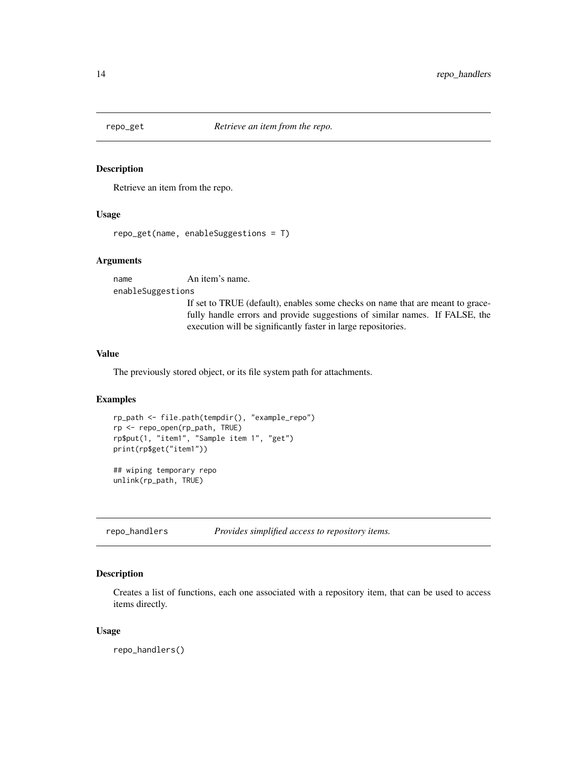<span id="page-13-0"></span>

Retrieve an item from the repo.

#### Usage

```
repo_get(name, enableSuggestions = T)
```
#### Arguments

name An item's name. enableSuggestions If set to TRUE (default), enables some checks on name that are meant to gracefully handle errors and provide suggestions of similar names. If FALSE, the execution will be significantly faster in large repositories.

## Value

The previously stored object, or its file system path for attachments.

#### Examples

```
rp_path <- file.path(tempdir(), "example_repo")
rp <- repo_open(rp_path, TRUE)
rp$put(1, "item1", "Sample item 1", "get")
print(rp$get("item1"))
## wiping temporary repo
```
unlink(rp\_path, TRUE)

repo\_handlers *Provides simplified access to repository items.*

## Description

Creates a list of functions, each one associated with a repository item, that can be used to access items directly.

#### Usage

repo\_handlers()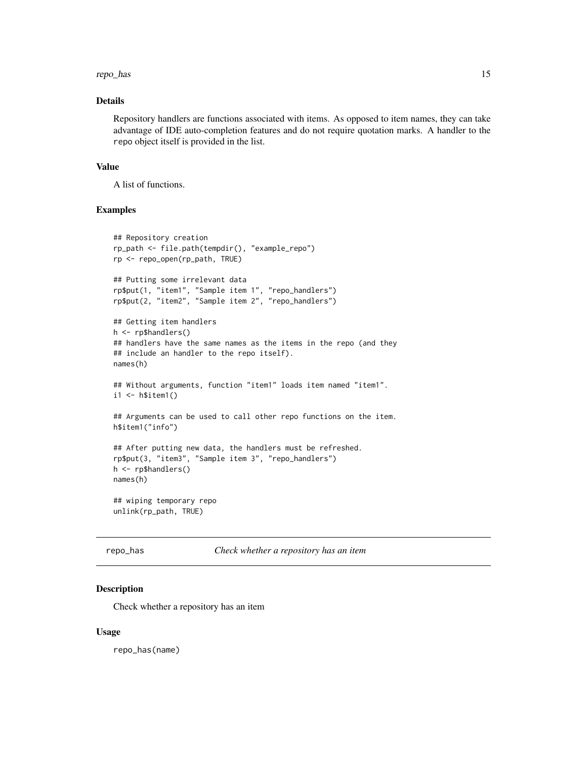#### <span id="page-14-0"></span>repo\_has 15

## Details

Repository handlers are functions associated with items. As opposed to item names, they can take advantage of IDE auto-completion features and do not require quotation marks. A handler to the repo object itself is provided in the list.

#### Value

A list of functions.

## Examples

```
## Repository creation
rp_path <- file.path(tempdir(), "example_repo")
rp <- repo_open(rp_path, TRUE)
## Putting some irrelevant data
rp$put(1, "item1", "Sample item 1", "repo_handlers")
rp$put(2, "item2", "Sample item 2", "repo_handlers")
## Getting item handlers
h <- rp$handlers()
## handlers have the same names as the items in the repo (and they
## include an handler to the repo itself).
names(h)
## Without arguments, function "item1" loads item named "item1".
i1 <- h$item1()
## Arguments can be used to call other repo functions on the item.
h$item1("info")
## After putting new data, the handlers must be refreshed.
rp$put(3, "item3", "Sample item 3", "repo_handlers")
h <- rp$handlers()
names(h)
## wiping temporary repo
unlink(rp_path, TRUE)
```
repo\_has *Check whether a repository has an item*

## Description

Check whether a repository has an item

#### Usage

repo\_has(name)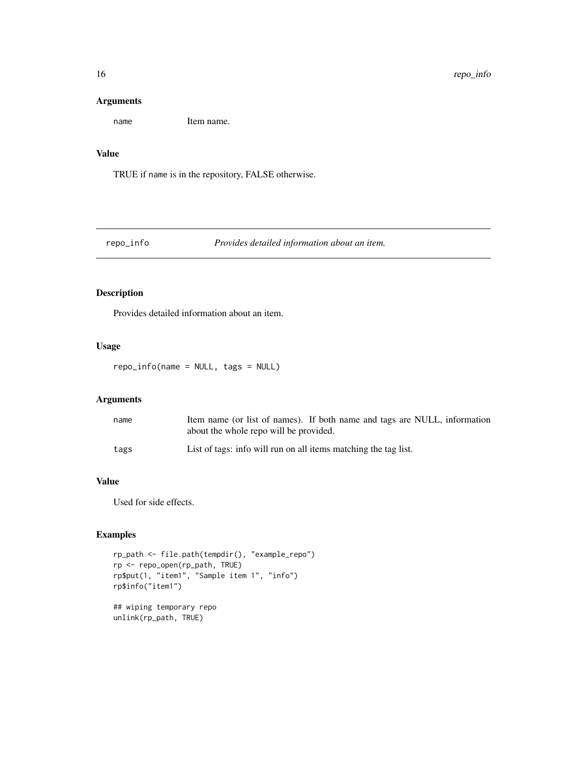#### Arguments

name Item name.

## Value

TRUE if name is in the repository, FALSE otherwise.

#### repo\_info *Provides detailed information about an item.*

## Description

Provides detailed information about an item.

## Usage

repo\_info(name = NULL, tags = NULL)

#### Arguments

| name | Item name (or list of names). If both name and tags are NULL, information |
|------|---------------------------------------------------------------------------|
|      | about the whole repo will be provided.                                    |
| tags | List of tags: info will run on all items matching the tag list.           |

## Value

Used for side effects.

```
rp_path <- file.path(tempdir(), "example_repo")
rp <- repo_open(rp_path, TRUE)
rp$put(1, "item1", "Sample item 1", "info")
rp$info("item1")
## wiping temporary repo
unlink(rp_path, TRUE)
```
<span id="page-15-0"></span>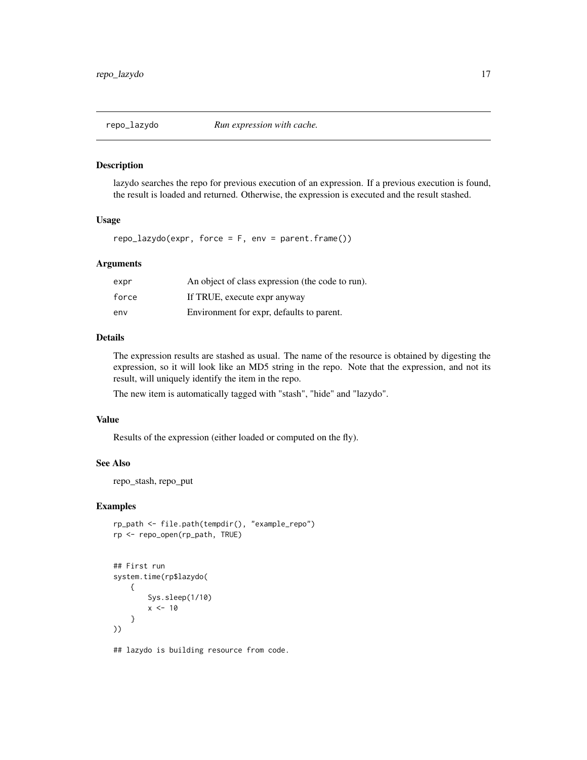<span id="page-16-0"></span>

lazydo searches the repo for previous execution of an expression. If a previous execution is found, the result is loaded and returned. Otherwise, the expression is executed and the result stashed.

#### Usage

 $repo_1$ azydo(expr, force = F, env = parent.frame())

## Arguments

| expr  | An object of class expression (the code to run). |
|-------|--------------------------------------------------|
| force | If TRUE, execute expr anyway                     |
| env   | Environment for expr, defaults to parent.        |

## Details

The expression results are stashed as usual. The name of the resource is obtained by digesting the expression, so it will look like an MD5 string in the repo. Note that the expression, and not its result, will uniquely identify the item in the repo.

The new item is automatically tagged with "stash", "hide" and "lazydo".

#### Value

Results of the expression (either loaded or computed on the fly).

#### See Also

repo\_stash, repo\_put

## Examples

```
rp_path <- file.path(tempdir(), "example_repo")
rp <- repo_open(rp_path, TRUE)
```

```
## First run
system.time(rp$lazydo(
    {
        Sys.sleep(1/10)
        x < -10}
))
```
## lazydo is building resource from code.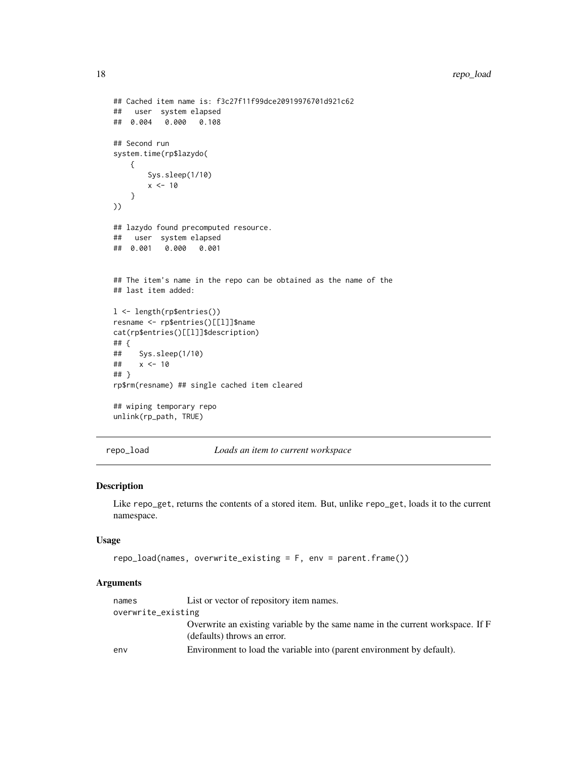```
## Cached item name is: f3c27f11f99dce20919976701d921c62
## user system elapsed
## 0.004 0.000 0.108
## Second run
system.time(rp$lazydo(
   {
       Sys.sleep(1/10)
       x < -10}
))
## lazydo found precomputed resource.
## user system elapsed
## 0.001 0.000 0.001
## The item's name in the repo can be obtained as the name of the
## last item added:
l <- length(rp$entries())
resname <- rp$entries()[[l]]$name
cat(rp$entries()[[l]]$description)
## {
## Sys.sleep(1/10)
## x <- 10
## }
rp$rm(resname) ## single cached item cleared
## wiping temporary repo
unlink(rp_path, TRUE)
```

```
repo_load Loads an item to current workspace
```
Like repo\_get, returns the contents of a stored item. But, unlike repo\_get, loads it to the current namespace.

#### Usage

```
repo_load(names, overwrite_existing = F, env = parent.frame())
```
#### Arguments

| names              | List or vector of repository item names.                                                                      |
|--------------------|---------------------------------------------------------------------------------------------------------------|
| overwrite_existing |                                                                                                               |
|                    | Overwrite an existing variable by the same name in the current workspace. If F<br>(defaults) throws an error. |
| env                | Environment to load the variable into (parent environment by default).                                        |

<span id="page-17-0"></span>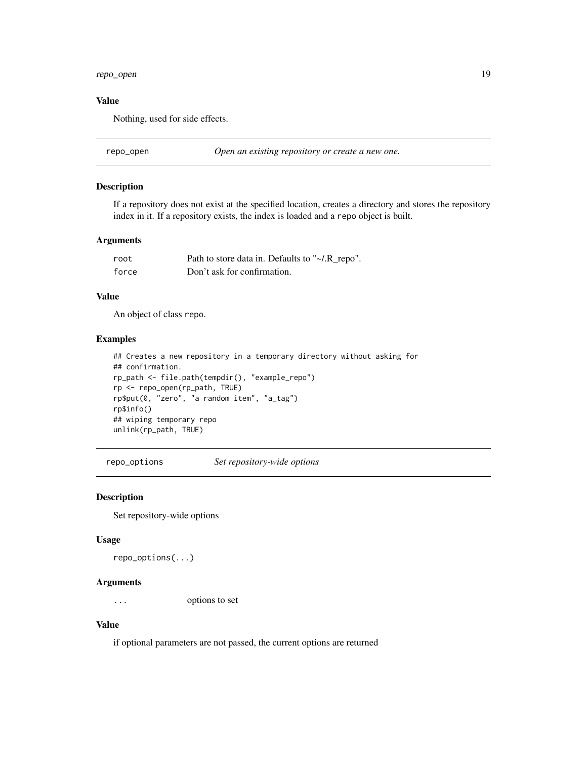## <span id="page-18-0"></span>repo\_open 19

#### Value

Nothing, used for side effects.

repo\_open *Open an existing repository or create a new one.*

## Description

If a repository does not exist at the specified location, creates a directory and stores the repository index in it. If a repository exists, the index is loaded and a repo object is built.

#### Arguments

| root  | Path to store data in. Defaults to "~/.R_repo". |
|-------|-------------------------------------------------|
| force | Don't ask for confirmation.                     |

#### Value

An object of class repo.

#### Examples

```
## Creates a new repository in a temporary directory without asking for
## confirmation.
rp_path <- file.path(tempdir(), "example_repo")
rp <- repo_open(rp_path, TRUE)
rp$put(0, "zero", "a random item", "a_tag")
rp$info()
## wiping temporary repo
unlink(rp_path, TRUE)
```
repo\_options *Set repository-wide options*

## Description

Set repository-wide options

#### Usage

repo\_options(...)

#### Arguments

... options to set

#### Value

if optional parameters are not passed, the current options are returned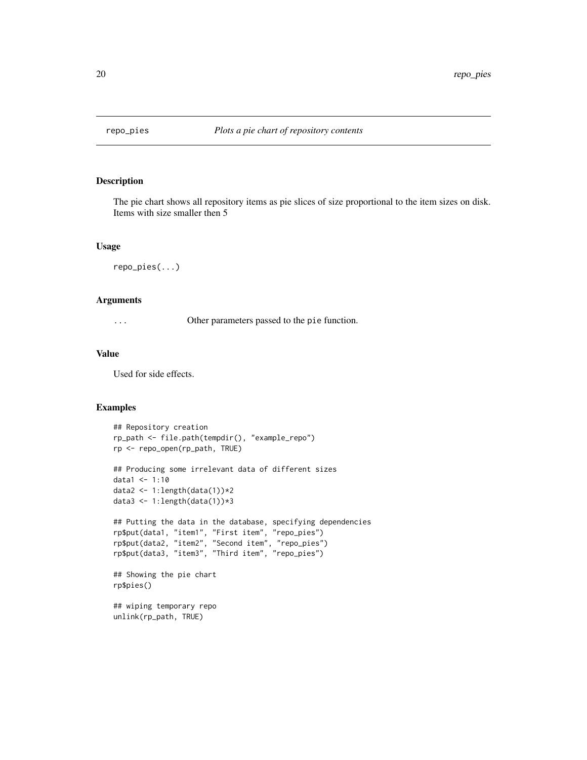<span id="page-19-0"></span>

The pie chart shows all repository items as pie slices of size proportional to the item sizes on disk. Items with size smaller then 5

#### Usage

```
repo_pies(...)
```
## Arguments

... Other parameters passed to the pie function.

## Value

Used for side effects.

```
## Repository creation
rp_path <- file.path(tempdir(), "example_repo")
rp <- repo_open(rp_path, TRUE)
## Producing some irrelevant data of different sizes
data1 <- 1:10
data2 <- 1:length(data(1))*2
data3 <- 1:length(data(1))*3
## Putting the data in the database, specifying dependencies
rp$put(data1, "item1", "First item", "repo_pies")
rp$put(data2, "item2", "Second item", "repo_pies")
rp$put(data3, "item3", "Third item", "repo_pies")
## Showing the pie chart
rp$pies()
## wiping temporary repo
unlink(rp_path, TRUE)
```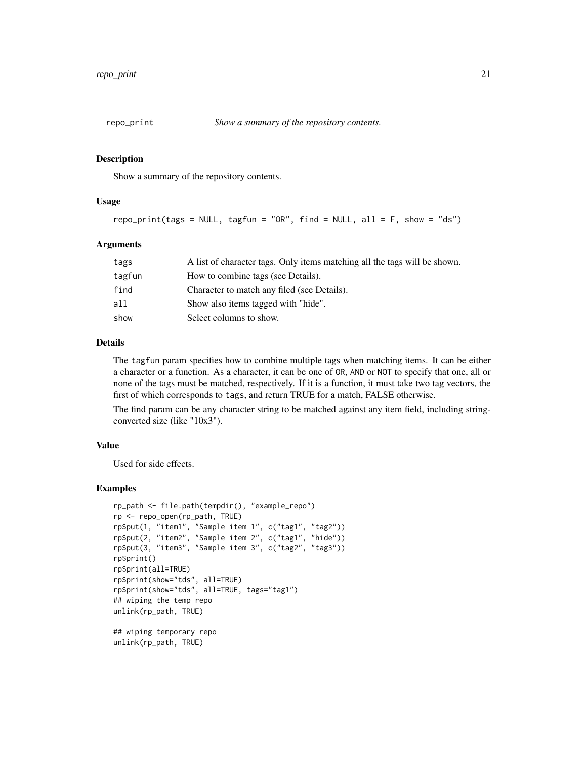<span id="page-20-0"></span>

Show a summary of the repository contents.

#### Usage

```
repo_print(tags = NULL, tagfun = "OR", find = NULL, all = F, show = "ds")
```
#### Arguments

| tags   | A list of character tags. Only items matching all the tags will be shown. |
|--------|---------------------------------------------------------------------------|
| tagfun | How to combine tags (see Details).                                        |
| find   | Character to match any filed (see Details).                               |
| all    | Show also items tagged with "hide".                                       |
| show   | Select columns to show.                                                   |

#### Details

The tagfun param specifies how to combine multiple tags when matching items. It can be either a character or a function. As a character, it can be one of OR, AND or NOT to specify that one, all or none of the tags must be matched, respectively. If it is a function, it must take two tag vectors, the first of which corresponds to tags, and return TRUE for a match, FALSE otherwise.

The find param can be any character string to be matched against any item field, including stringconverted size (like "10x3").

#### Value

Used for side effects.

```
rp_path <- file.path(tempdir(), "example_repo")
rp <- repo_open(rp_path, TRUE)
rp$put(1, "item1", "Sample item 1", c("tag1", "tag2"))
rp$put(2, "item2", "Sample item 2", c("tag1", "hide"))
rp$put(3, "item3", "Sample item 3", c("tag2", "tag3"))
rp$print()
rp$print(all=TRUE)
rp$print(show="tds", all=TRUE)
rp$print(show="tds", all=TRUE, tags="tag1")
## wiping the temp repo
unlink(rp_path, TRUE)
## wiping temporary repo
unlink(rp_path, TRUE)
```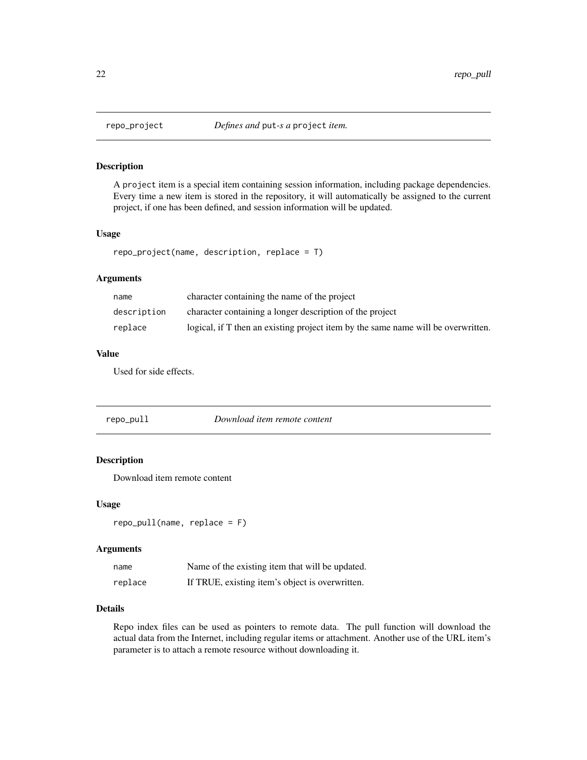A project item is a special item containing session information, including package dependencies. Every time a new item is stored in the repository, it will automatically be assigned to the current project, if one has been defined, and session information will be updated.

## Usage

```
repo_project(name, description, replace = T)
```
## Arguments

| name        | character containing the name of the project                                      |
|-------------|-----------------------------------------------------------------------------------|
| description | character containing a longer description of the project                          |
| replace     | logical, if T then an existing project item by the same name will be overwritten. |

## Value

Used for side effects.

| repo_pull | Download item remote content |
|-----------|------------------------------|
|-----------|------------------------------|

## Description

Download item remote content

#### Usage

repo\_pull(name, replace = F)

## Arguments

| name    | Name of the existing item that will be updated. |
|---------|-------------------------------------------------|
| replace | If TRUE, existing item's object is overwritten. |

## Details

Repo index files can be used as pointers to remote data. The pull function will download the actual data from the Internet, including regular items or attachment. Another use of the URL item's parameter is to attach a remote resource without downloading it.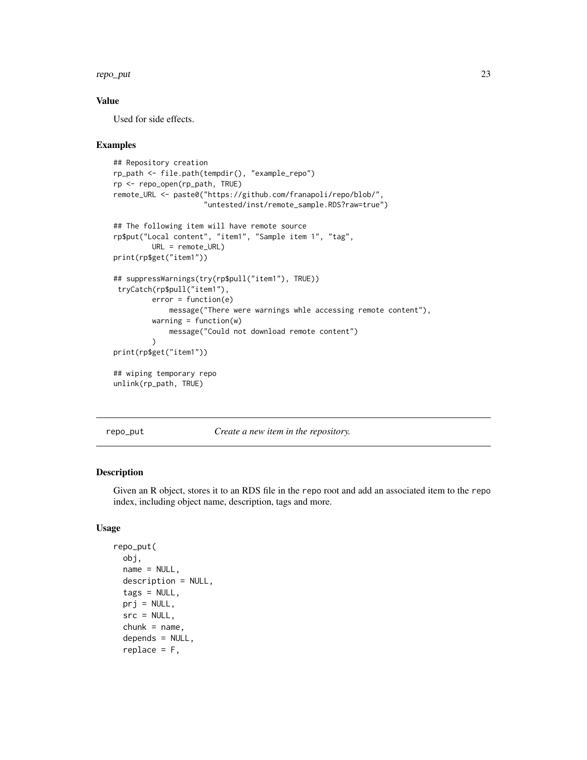#### <span id="page-22-0"></span>repo\_put 23

## Value

Used for side effects.

#### Examples

```
## Repository creation
rp_path <- file.path(tempdir(), "example_repo")
rp <- repo_open(rp_path, TRUE)
remote_URL <- paste0("https://github.com/franapoli/repo/blob/",
                     "untested/inst/remote_sample.RDS?raw=true")
## The following item will have remote source
rp$put("Local content", "item1", "Sample item 1", "tag",
        URL = remote_URL)
print(rp$get("item1"))
## suppressWarnings(try(rp$pull("item1"), TRUE))
tryCatch(rp$pull("item1"),
        error = function(e)
            message("There were warnings whle accessing remote content"),
        warning = function(w)message("Could not download remote content")
        )
print(rp$get("item1"))
## wiping temporary repo
unlink(rp_path, TRUE)
```
repo\_put *Create a new item in the repository.*

## Description

Given an R object, stores it to an RDS file in the repo root and add an associated item to the repo index, including object name, description, tags and more.

#### Usage

```
repo_put(
  obj,
  name = NULL,description = NULL,
  tags = NULL,prj = NULL,src = NULL,chunk = name,depends = NULL,
  replace = F,
```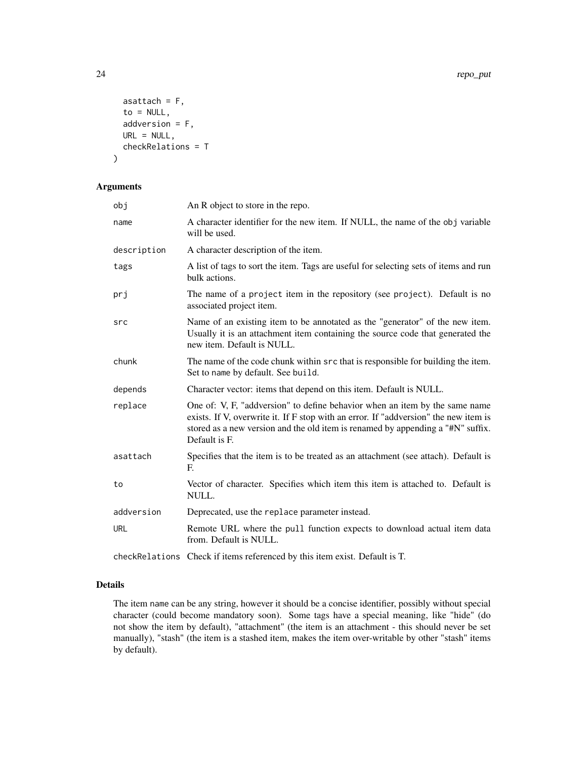```
asattach = F,
  to = NULL,
  addversion = F,
 URL = NULL,checkRelations = T
\mathcal{L}
```
#### Arguments

| obj         | An R object to store in the repo.                                                                                                                                                                                                                                       |
|-------------|-------------------------------------------------------------------------------------------------------------------------------------------------------------------------------------------------------------------------------------------------------------------------|
| name        | A character identifier for the new item. If NULL, the name of the obj variable<br>will be used.                                                                                                                                                                         |
| description | A character description of the item.                                                                                                                                                                                                                                    |
| tags        | A list of tags to sort the item. Tags are useful for selecting sets of items and run<br>bulk actions.                                                                                                                                                                   |
| prj         | The name of a project item in the repository (see project). Default is no<br>associated project item.                                                                                                                                                                   |
| src         | Name of an existing item to be annotated as the "generator" of the new item.<br>Usually it is an attachment item containing the source code that generated the<br>new item. Default is NULL.                                                                            |
| chunk       | The name of the code chunk within src that is responsible for building the item.<br>Set to name by default. See build.                                                                                                                                                  |
| depends     | Character vector: items that depend on this item. Default is NULL.                                                                                                                                                                                                      |
| replace     | One of: V, F, "addversion" to define behavior when an item by the same name<br>exists. If V, overwrite it. If F stop with an error. If "addversion" the new item is<br>stored as a new version and the old item is renamed by appending a "#N" suffix.<br>Default is F. |
| asattach    | Specifies that the item is to be treated as an attachment (see attach). Default is<br>E.                                                                                                                                                                                |
| to          | Vector of character. Specifies which item this item is attached to. Default is<br>NULL.                                                                                                                                                                                 |
| addversion  | Deprecated, use the replace parameter instead.                                                                                                                                                                                                                          |
| <b>URL</b>  | Remote URL where the pull function expects to download actual item data<br>from. Default is NULL.                                                                                                                                                                       |
|             | checkRelations Check if items referenced by this item exist. Default is T.                                                                                                                                                                                              |

#### Details

The item name can be any string, however it should be a concise identifier, possibly without special character (could become mandatory soon). Some tags have a special meaning, like "hide" (do not show the item by default), "attachment" (the item is an attachment - this should never be set manually), "stash" (the item is a stashed item, makes the item over-writable by other "stash" items by default).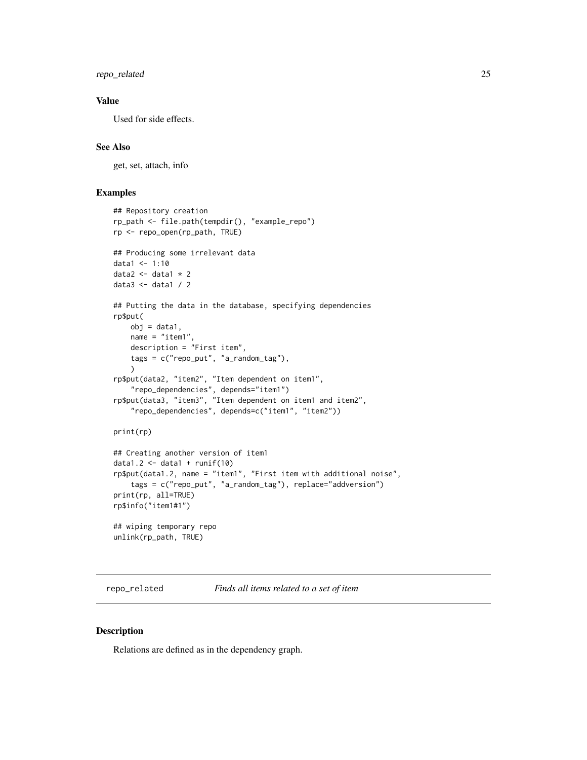<span id="page-24-0"></span>repo\_related 25

## Value

Used for side effects.

#### See Also

get, set, attach, info

## Examples

```
## Repository creation
rp_path <- file.path(tempdir(), "example_repo")
rp <- repo_open(rp_path, TRUE)
## Producing some irrelevant data
data1 < -1:10data2 <- data1 * 2
data3 <- data1 / 2
## Putting the data in the database, specifying dependencies
rp$put(
    obj = data1,name = "item1".description = "First item",
    tags = c("repo_put", "a_random_tag"),
    )
rp$put(data2, "item2", "Item dependent on item1",
    "repo_dependencies", depends="item1")
rp$put(data3, "item3", "Item dependent on item1 and item2",
    "repo_dependencies", depends=c("item1", "item2"))
print(rp)
## Creating another version of item1
data1.2 \leftarrow data1 + runif(10)
rp$put(data1.2, name = "item1", "First item with additional noise",
    tags = c("repo_put", "a_random_tag"), replace="addversion")
print(rp, all=TRUE)
rp$info("item1#1")
## wiping temporary repo
unlink(rp_path, TRUE)
```
repo\_related *Finds all items related to a set of item*

#### Description

Relations are defined as in the dependency graph.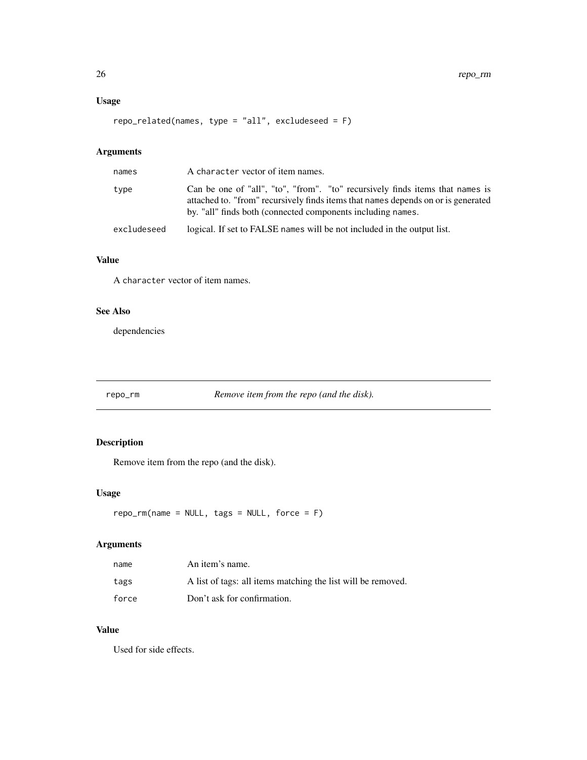## <span id="page-25-0"></span>Usage

```
repo_related(names, type = "all", excludeseed = F)
```
## Arguments

| names       | A character vector of item names.                                                                                                                                                                                                 |
|-------------|-----------------------------------------------------------------------------------------------------------------------------------------------------------------------------------------------------------------------------------|
| type        | Can be one of "all", "to", "from". "to" recursively finds items that names is<br>attached to. "from" recursively finds items that names depends on or is generated<br>by. "all" finds both (connected components including names. |
| excludeseed | logical. If set to FALSE names will be not included in the output list.                                                                                                                                                           |

## Value

A character vector of item names.

## See Also

dependencies

repo\_rm *Remove item from the repo (and the disk).*

## Description

Remove item from the repo (and the disk).

## Usage

```
repo\_rm(name = NULL, tags = NULL, force = F)
```
## Arguments

| name  | An item's name.                                              |
|-------|--------------------------------------------------------------|
| tags  | A list of tags: all items matching the list will be removed. |
| force | Don't ask for confirmation.                                  |

## Value

Used for side effects.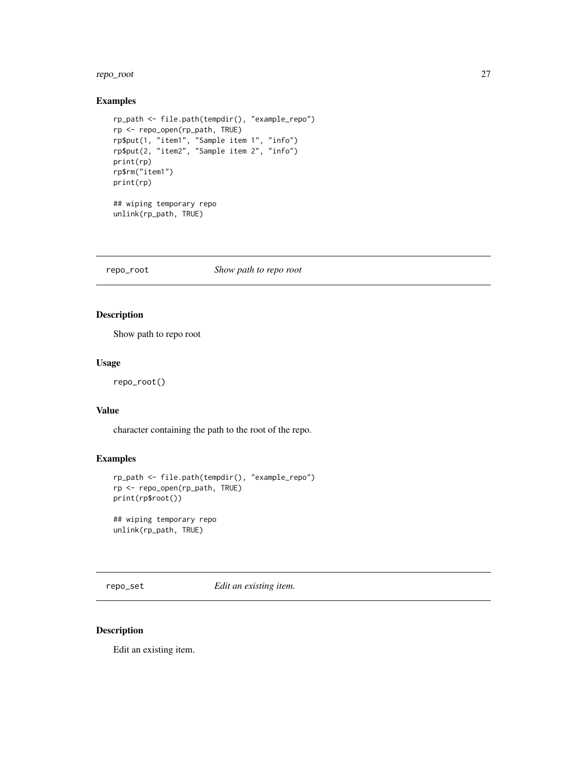#### <span id="page-26-0"></span>repo\_root 27

## Examples

```
rp_path <- file.path(tempdir(), "example_repo")
rp <- repo_open(rp_path, TRUE)
rp$put(1, "item1", "Sample item 1", "info")
rp$put(2, "item2", "Sample item 2", "info")
print(rp)
rp$rm("item1")
print(rp)
## wiping temporary repo
unlink(rp_path, TRUE)
```
repo\_root *Show path to repo root*

## Description

Show path to repo root

#### Usage

repo\_root()

## Value

character containing the path to the root of the repo.

## Examples

```
rp_path <- file.path(tempdir(), "example_repo")
rp <- repo_open(rp_path, TRUE)
print(rp$root())
## wiping temporary repo
unlink(rp_path, TRUE)
```
repo\_set *Edit an existing item.*

#### Description

Edit an existing item.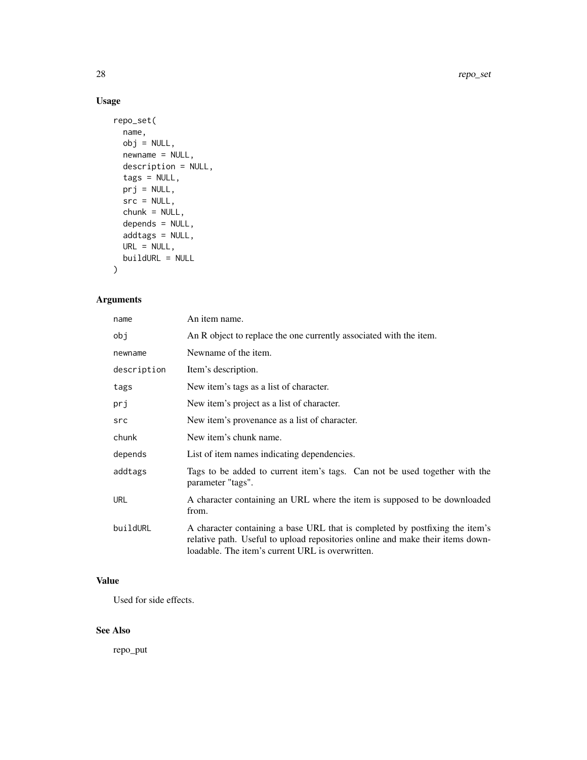## Usage

```
repo_set(
 name,
 obj = NULL,newname = NULL,
 description = NULL,
  tags = NULL,
 prj = NULL,
 src = NULL,chunk = NULL,depends = NULL,
 addtags = NULL,
 URL = NULL,buildURL = NULL
)
```
## Arguments

| name        | An item name.                                                                                                                                                                                                      |
|-------------|--------------------------------------------------------------------------------------------------------------------------------------------------------------------------------------------------------------------|
| obj         | An R object to replace the one currently associated with the item.                                                                                                                                                 |
| newname     | Newname of the item.                                                                                                                                                                                               |
| description | Item's description.                                                                                                                                                                                                |
| tags        | New item's tags as a list of character.                                                                                                                                                                            |
| prj         | New item's project as a list of character.                                                                                                                                                                         |
| src         | New item's provenance as a list of character.                                                                                                                                                                      |
| chunk       | New item's chunk name.                                                                                                                                                                                             |
| depends     | List of item names indicating dependencies.                                                                                                                                                                        |
| addtags     | Tags to be added to current item's tags. Can not be used together with the<br>parameter "tags".                                                                                                                    |
| url         | A character containing an URL where the item is supposed to be downloaded<br>from.                                                                                                                                 |
| buildURL    | A character containing a base URL that is completed by postfixing the item's<br>relative path. Useful to upload repositories online and make their items down-<br>loadable. The item's current URL is overwritten. |

## Value

Used for side effects.

## See Also

repo\_put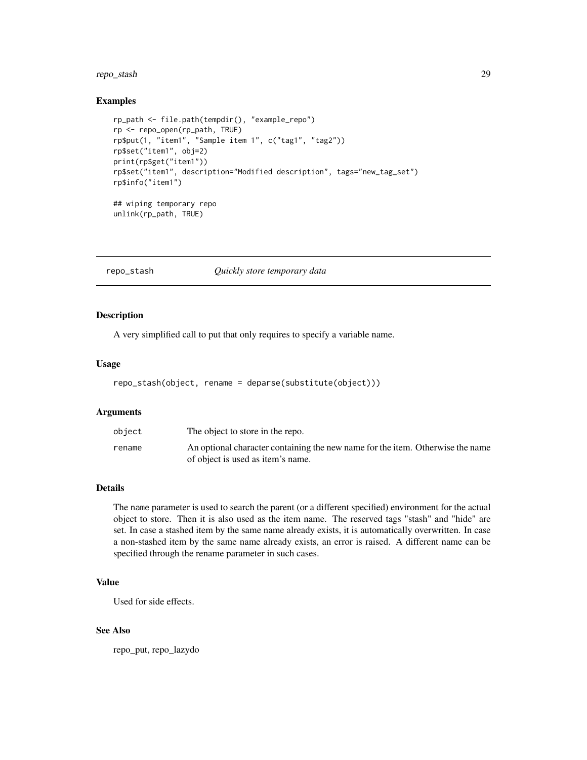## <span id="page-28-0"></span>repo\_stash 29

#### Examples

```
rp_path <- file.path(tempdir(), "example_repo")
rp <- repo_open(rp_path, TRUE)
rp$put(1, "item1", "Sample item 1", c("tag1", "tag2"))
rp$set("item1", obj=2)
print(rp$get("item1"))
rp$set("item1", description="Modified description", tags="new_tag_set")
rp$info("item1")
## wiping temporary repo
```

```
unlink(rp_path, TRUE)
```
repo\_stash *Quickly store temporary data*

## Description

A very simplified call to put that only requires to specify a variable name.

#### Usage

```
repo_stash(object, rename = deparse(substitute(object)))
```
#### Arguments

| object | The object to store in the repo.                                               |
|--------|--------------------------------------------------------------------------------|
| rename | An optional character containing the new name for the item. Otherwise the name |
|        | of object is used as item's name.                                              |

#### Details

The name parameter is used to search the parent (or a different specified) environment for the actual object to store. Then it is also used as the item name. The reserved tags "stash" and "hide" are set. In case a stashed item by the same name already exists, it is automatically overwritten. In case a non-stashed item by the same name already exists, an error is raised. A different name can be specified through the rename parameter in such cases.

## Value

Used for side effects.

#### See Also

repo\_put, repo\_lazydo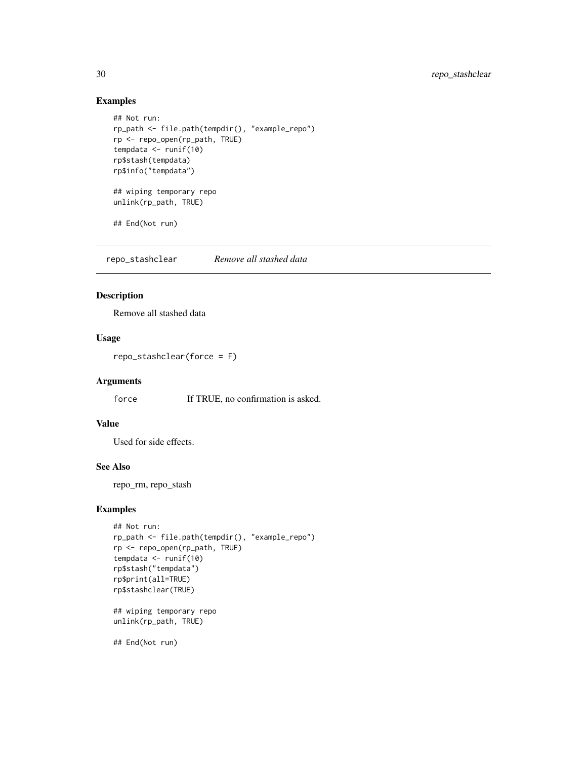## Examples

```
## Not run:
rp_path <- file.path(tempdir(), "example_repo")
rp <- repo_open(rp_path, TRUE)
tempdata <- runif(10)
rp$stash(tempdata)
rp$info("tempdata")
## wiping temporary repo
unlink(rp_path, TRUE)
## End(Not run)
```
repo\_stashclear *Remove all stashed data*

## Description

Remove all stashed data

## Usage

repo\_stashclear(force = F)

## Arguments

force If TRUE, no confirmation is asked.

## Value

Used for side effects.

#### See Also

repo\_rm, repo\_stash

#### Examples

```
## Not run:
rp_path <- file.path(tempdir(), "example_repo")
rp <- repo_open(rp_path, TRUE)
tempdata <- runif(10)
rp$stash("tempdata")
rp$print(all=TRUE)
rp$stashclear(TRUE)
```
## wiping temporary repo unlink(rp\_path, TRUE)

## End(Not run)

<span id="page-29-0"></span>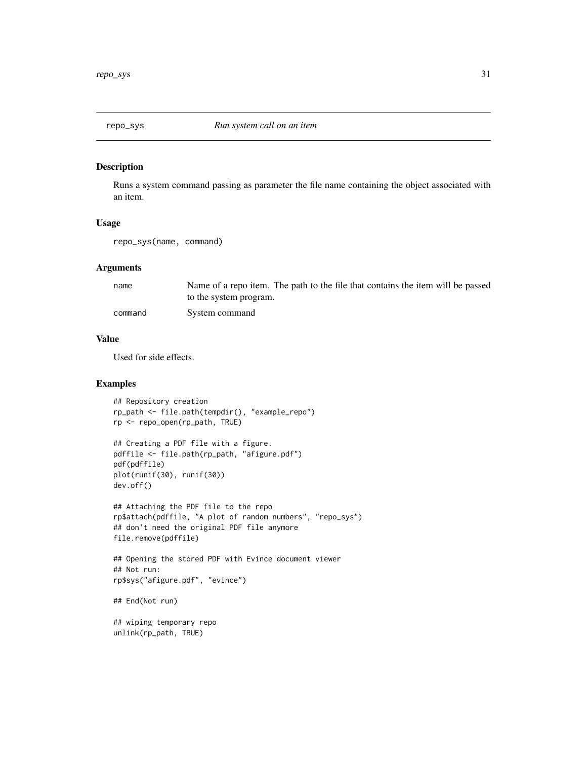<span id="page-30-0"></span>

Runs a system command passing as parameter the file name containing the object associated with an item.

#### Usage

repo\_sys(name, command)

#### Arguments

| name    | Name of a repo item. The path to the file that contains the item will be passed |
|---------|---------------------------------------------------------------------------------|
|         | to the system program.                                                          |
| command | System command                                                                  |

## Value

Used for side effects.

## Examples

```
## Repository creation
rp_path <- file.path(tempdir(), "example_repo")
rp <- repo_open(rp_path, TRUE)
## Creating a PDF file with a figure.
pdffile <- file.path(rp_path, "afigure.pdf")
pdf(pdffile)
plot(runif(30), runif(30))
dev.off()
```

```
## Attaching the PDF file to the repo
rp$attach(pdffile, "A plot of random numbers", "repo_sys")
## don't need the original PDF file anymore
file.remove(pdffile)
```

```
## Opening the stored PDF with Evince document viewer
## Not run:
rp$sys("afigure.pdf", "evince")
```
## End(Not run)

## wiping temporary repo unlink(rp\_path, TRUE)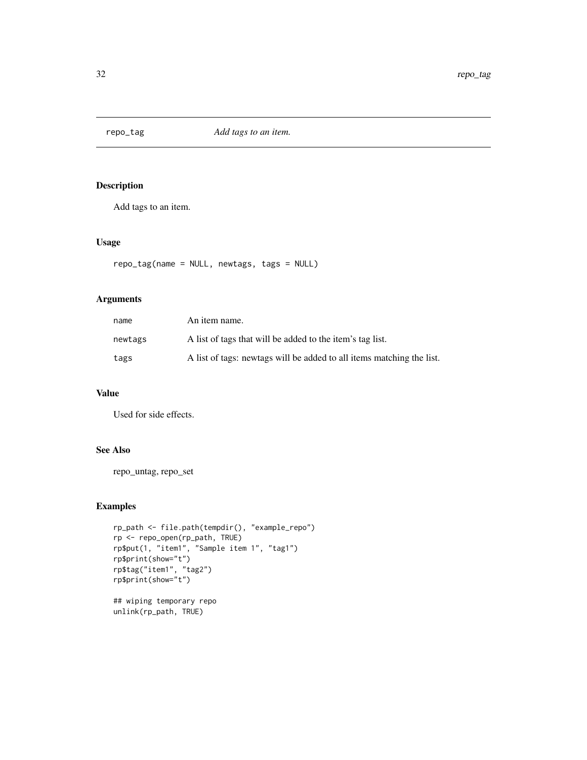<span id="page-31-0"></span>

Add tags to an item.

## Usage

```
repo_tag(name = NULL, newtags, tags = NULL)
```
## Arguments

| name    | An item name.                                                         |
|---------|-----------------------------------------------------------------------|
| newtags | A list of tags that will be added to the item's tag list.             |
| tags    | A list of tags: newtags will be added to all items matching the list. |

#### Value

Used for side effects.

## See Also

repo\_untag, repo\_set

## Examples

```
rp_path <- file.path(tempdir(), "example_repo")
rp <- repo_open(rp_path, TRUE)
rp$put(1, "item1", "Sample item 1", "tag1")
rp$print(show="t")
rp$tag("item1", "tag2")
rp$print(show="t")
## wiping temporary repo
```
unlink(rp\_path, TRUE)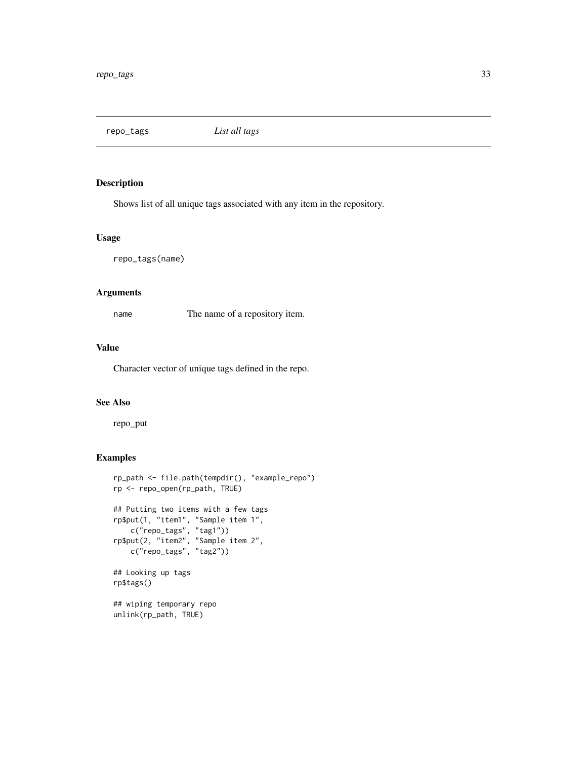<span id="page-32-0"></span>repo\_tags *List all tags*

## Description

Shows list of all unique tags associated with any item in the repository.

#### Usage

repo\_tags(name)

## Arguments

name The name of a repository item.

## Value

Character vector of unique tags defined in the repo.

#### See Also

repo\_put

```
rp_path <- file.path(tempdir(), "example_repo")
rp <- repo_open(rp_path, TRUE)
## Putting two items with a few tags
rp$put(1, "item1", "Sample item 1",
    c("repo_tags", "tag1"))
rp$put(2, "item2", "Sample item 2",
   c("repo_tags", "tag2"))
## Looking up tags
rp$tags()
## wiping temporary repo
unlink(rp_path, TRUE)
```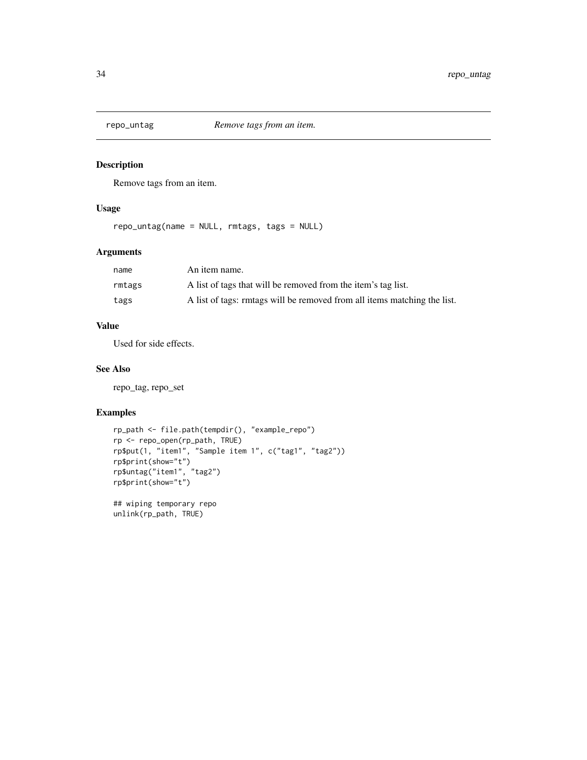<span id="page-33-0"></span>

Remove tags from an item.

## Usage

repo\_untag(name = NULL, rmtags, tags = NULL)

## Arguments

| name   | An item name.                                                            |
|--------|--------------------------------------------------------------------------|
| rmtags | A list of tags that will be removed from the item's tag list.            |
| tags   | A list of tags: rmtags will be removed from all items matching the list. |

## Value

Used for side effects.

## See Also

repo\_tag, repo\_set

```
rp_path <- file.path(tempdir(), "example_repo")
rp <- repo_open(rp_path, TRUE)
rp$put(1, "item1", "Sample item 1", c("tag1", "tag2"))
rp$print(show="t")
rp$untag("item1", "tag2")
rp$print(show="t")
## wiping temporary repo
unlink(rp_path, TRUE)
```